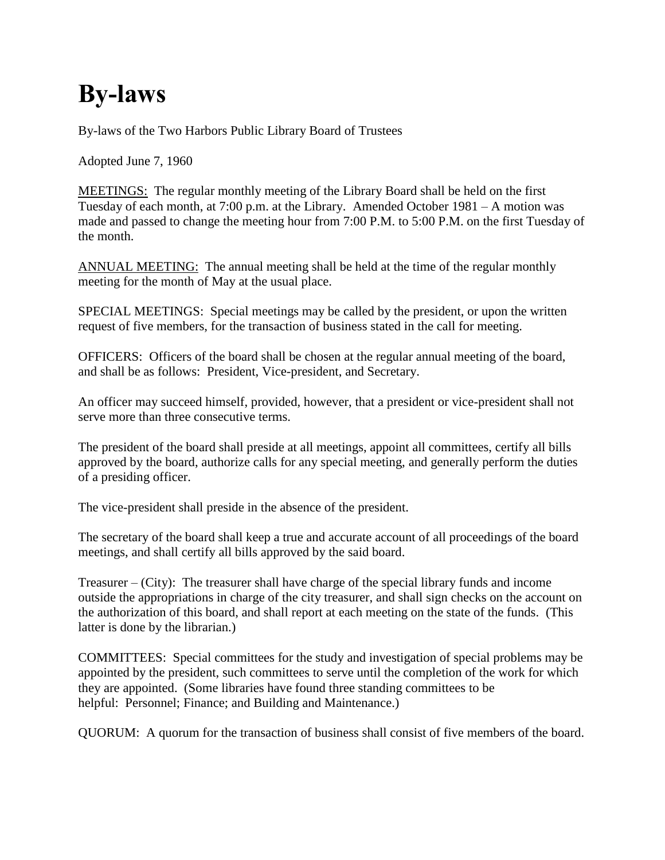## **By-laws**

By-laws of the Two Harbors Public Library Board of Trustees

Adopted June 7, 1960

MEETINGS: The regular monthly meeting of the Library Board shall be held on the first Tuesday of each month, at 7:00 p.m. at the Library. Amended October 1981 – A motion was made and passed to change the meeting hour from 7:00 P.M. to 5:00 P.M. on the first Tuesday of the month.

ANNUAL MEETING: The annual meeting shall be held at the time of the regular monthly meeting for the month of May at the usual place.

SPECIAL MEETINGS: Special meetings may be called by the president, or upon the written request of five members, for the transaction of business stated in the call for meeting.

OFFICERS: Officers of the board shall be chosen at the regular annual meeting of the board, and shall be as follows: President, Vice-president, and Secretary.

An officer may succeed himself, provided, however, that a president or vice-president shall not serve more than three consecutive terms.

The president of the board shall preside at all meetings, appoint all committees, certify all bills approved by the board, authorize calls for any special meeting, and generally perform the duties of a presiding officer.

The vice-president shall preside in the absence of the president.

The secretary of the board shall keep a true and accurate account of all proceedings of the board meetings, and shall certify all bills approved by the said board.

Treasurer – (City): The treasurer shall have charge of the special library funds and income outside the appropriations in charge of the city treasurer, and shall sign checks on the account on the authorization of this board, and shall report at each meeting on the state of the funds. (This latter is done by the librarian.)

COMMITTEES: Special committees for the study and investigation of special problems may be appointed by the president, such committees to serve until the completion of the work for which they are appointed. (Some libraries have found three standing committees to be helpful: Personnel; Finance; and Building and Maintenance.)

QUORUM: A quorum for the transaction of business shall consist of five members of the board.